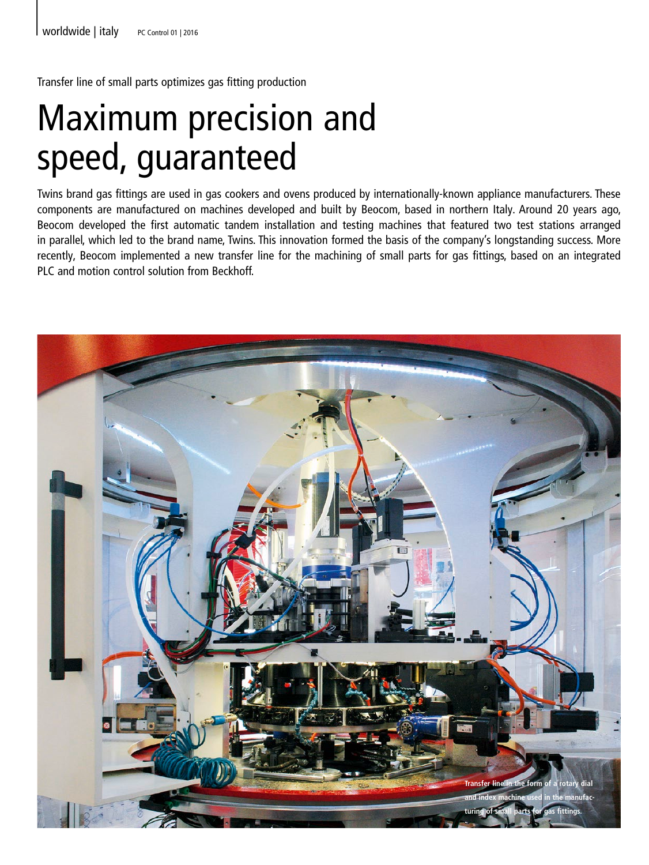Transfer line of small parts optimizes gas fitting production

## Maximum precision and speed, guaranteed

Twins brand gas fittings are used in gas cookers and ovens produced by internationally-known appliance manufacturers. These components are manufactured on machines developed and built by Beocom, based in northern Italy. Around 20 years ago, Beocom developed the first automatic tandem installation and testing machines that featured two test stations arranged in parallel, which led to the brand name, Twins. This innovation formed the basis of the company's longstanding success. More recently, Beocom implemented a new transfer line for the machining of small parts for gas fittings, based on an integrated PLC and motion control solution from Beckhoff.